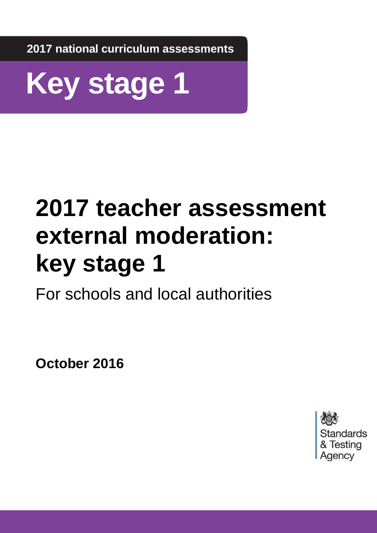**2017 national curriculum assessments**



# **2017 teacher assessment external moderation: key stage 1**

For schools and local authorities

**October 2016**

Standards & Testing Agency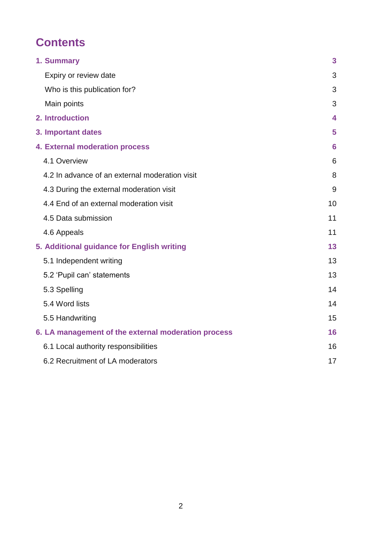# **Contents**

| 1. Summary                                          | $\overline{\mathbf{3}}$ |
|-----------------------------------------------------|-------------------------|
| Expiry or review date                               | 3                       |
| Who is this publication for?                        | 3                       |
| Main points                                         | 3                       |
| 2. Introduction                                     | $\overline{\mathbf{4}}$ |
| 3. Important dates                                  | 5                       |
| <b>4. External moderation process</b>               | 6                       |
| 4.1 Overview                                        | 6                       |
| 4.2 In advance of an external moderation visit      | 8                       |
| 4.3 During the external moderation visit            | 9                       |
| 4.4 End of an external moderation visit             | 10                      |
| 4.5 Data submission                                 | 11                      |
| 4.6 Appeals                                         | 11                      |
| 5. Additional guidance for English writing          | 13                      |
| 5.1 Independent writing                             | 13                      |
| 5.2 'Pupil can' statements                          | 13                      |
| 5.3 Spelling                                        | 14                      |
| 5.4 Word lists                                      | 14                      |
| 5.5 Handwriting                                     | 15                      |
| 6. LA management of the external moderation process | 16                      |
| 6.1 Local authority responsibilities                | 16                      |
| 6.2 Recruitment of LA moderators                    | 17                      |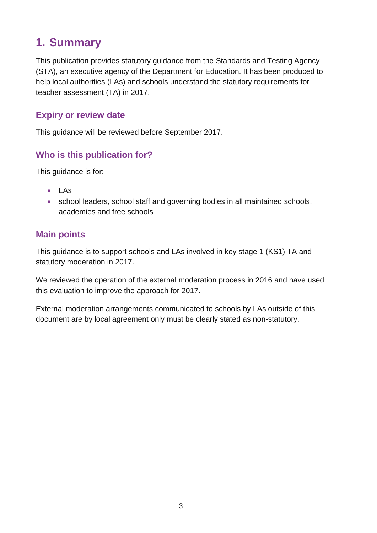# <span id="page-2-0"></span>**1. Summary**

This publication provides statutory guidance from the Standards and Testing Agency (STA), an executive agency of the Department for Education. It has been produced to help local authorities (LAs) and schools understand the statutory requirements for teacher assessment (TA) in 2017.

#### <span id="page-2-1"></span>**Expiry or review date**

This guidance will be reviewed before September 2017.

#### <span id="page-2-2"></span>**Who is this publication for?**

This guidance is for:

- LAs
- school leaders, school staff and governing bodies in all maintained schools, academies and free schools

#### <span id="page-2-3"></span>**Main points**

This guidance is to support schools and LAs involved in key stage 1 (KS1) TA and statutory moderation in 2017.

We reviewed the operation of the external moderation process in 2016 and have used this evaluation to improve the approach for 2017.

External moderation arrangements communicated to schools by LAs outside of this document are by local agreement only must be clearly stated as non-statutory.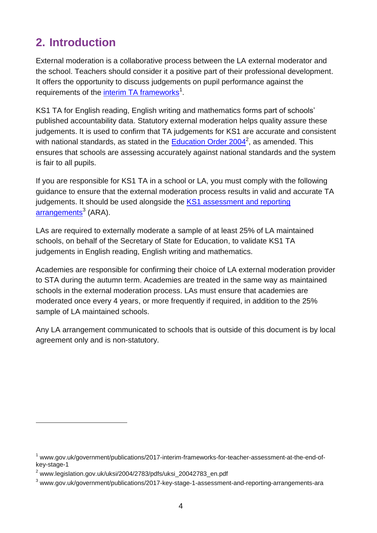# <span id="page-3-0"></span>**2. Introduction**

External moderation is a collaborative process between the LA external moderator and the school. Teachers should consider it a positive part of their professional development. It offers the opportunity to discuss judgements on pupil performance against the requirements of the *[interim TA frameworks](http://www.gov.uk/government/publications/2017-interim-frameworks-for-teacher-assessment-at-the-end-of-key-stage-1)<sup>1</sup>*.

KS1 TA for English reading, English writing and mathematics forms part of schools' published accountability data. Statutory external moderation helps quality assure these judgements. It is used to confirm that TA judgements for KS1 are accurate and consistent with national standards, as stated in the **Education Order 2004**<sup>2</sup>, as amended. This ensures that schools are assessing accurately against national standards and the system is fair to all pupils.

If you are responsible for KS1 TA in a school or LA, you must comply with the following guidance to ensure that the external moderation process results in valid and accurate TA judgements. It should be used alongside the KS1 assessment and reporting [arrangements](https://www.gov.uk/government/publications/2017-key-stage-1-assessment-and-reporting-arrangements-ara)<sup>3</sup> (ARA).

LAs are required to externally moderate a sample of at least 25% of LA maintained schools, on behalf of the Secretary of State for Education, to validate KS1 TA judgements in English reading, English writing and mathematics.

Academies are responsible for confirming their choice of LA external moderation provider to STA during the autumn term. Academies are treated in the same way as maintained schools in the external moderation process. LAs must ensure that academies are moderated once every 4 years, or more frequently if required, in addition to the 25% sample of LA maintained schools.

Any LA arrangement communicated to schools that is outside of this document is by local agreement only and is non-statutory.

-

 $1$  www.gov.uk/government/publications/2017-interim-frameworks-for-teacher-assessment-at-the-end-ofkey-stage-1

 $2$  www.legislation.gov.uk/uksi/2004/2783/pdfs/uksi\_20042783\_en.pdf

<sup>3</sup> www.gov.uk/government/publications/2017-key-stage-1-assessment-and-reporting-arrangements-ara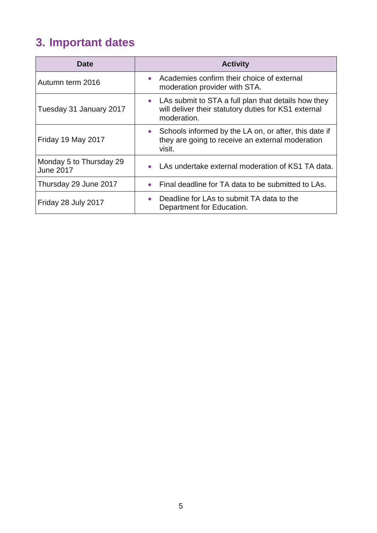# <span id="page-4-0"></span>**3. Important dates**

| <b>Date</b>                                 | <b>Activity</b>                                                                                                                         |
|---------------------------------------------|-----------------------------------------------------------------------------------------------------------------------------------------|
| Autumn term 2016                            | Academies confirm their choice of external<br>$\bullet$<br>moderation provider with STA.                                                |
| Tuesday 31 January 2017                     | LAs submit to STA a full plan that details how they<br>$\bullet$<br>will deliver their statutory duties for KS1 external<br>moderation. |
| Friday 19 May 2017                          | Schools informed by the LA on, or after, this date if<br>$\bullet$<br>they are going to receive an external moderation<br>visit.        |
| Monday 5 to Thursday 29<br><b>June 2017</b> | LAs undertake external moderation of KS1 TA data.<br>$\bullet$                                                                          |
| Thursday 29 June 2017                       | Final deadline for TA data to be submitted to LAs.<br>$\bullet$                                                                         |
| Friday 28 July 2017                         | Deadline for LAs to submit TA data to the<br>$\bullet$<br>Department for Education.                                                     |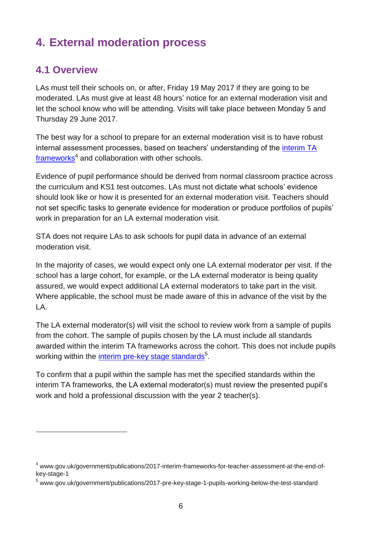# <span id="page-5-0"></span>**4. External moderation process**

#### <span id="page-5-1"></span>**4.1 Overview**

-

LAs must tell their schools on, or after, Friday 19 May 2017 if they are going to be moderated. LAs must give at least 48 hours' notice for an external moderation visit and let the school know who will be attending. Visits will take place between Monday 5 and Thursday 29 June 2017.

The best way for a school to prepare for an external moderation visit is to have robust internal assessment processes, based on teachers' understanding of the *interim TA* [frameworks](https://www.gov.uk/government/publications/2017-interim-frameworks-for-teacher-assessment-at-the-end-of-key-stage-1)<sup>4</sup> and collaboration with other schools.

Evidence of pupil performance should be derived from normal classroom practice across the curriculum and KS1 test outcomes. LAs must not dictate what schools' evidence should look like or how it is presented for an external moderation visit. Teachers should not set specific tasks to generate evidence for moderation or produce portfolios of pupils' work in preparation for an LA external moderation visit.

STA does not require LAs to ask schools for pupil data in advance of an external moderation visit.

In the majority of cases, we would expect only one LA external moderator per visit. If the school has a large cohort, for example, or the LA external moderator is being quality assured, we would expect additional LA external moderators to take part in the visit. Where applicable, the school must be made aware of this in advance of the visit by the LA.

The LA external moderator(s) will visit the school to review work from a sample of pupils from the cohort. The sample of pupils chosen by the LA must include all standards awarded within the interim TA frameworks across the cohort. This does not include pupils working within the *interim [pre-key stage](https://www.gov.uk/government/publications/2017-pre-key-stage-1-pupils-working-below-the-test-standard) standards*<sup>5</sup>.

To confirm that a pupil within the sample has met the specified standards within the interim TA frameworks, the LA external moderator(s) must review the presented pupil's work and hold a professional discussion with the year 2 teacher(s).

<sup>4</sup> www.gov.uk/government/publications/2017-interim-frameworks-for-teacher-assessment-at-the-end-ofkey-stage-1

<sup>5</sup> www.gov.uk/government/publications/2017-pre-key-stage-1-pupils-working-below-the-test-standard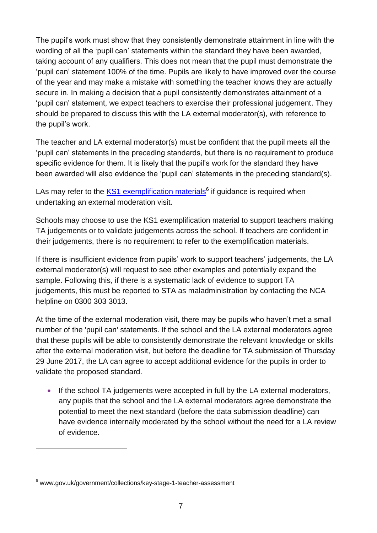The pupil's work must show that they consistently demonstrate attainment in line with the wording of all the 'pupil can' statements within the standard they have been awarded, taking account of any qualifiers. This does not mean that the pupil must demonstrate the 'pupil can' statement 100% of the time. Pupils are likely to have improved over the course of the year and may make a mistake with something the teacher knows they are actually secure in. In making a decision that a pupil consistently demonstrates attainment of a 'pupil can' statement, we expect teachers to exercise their professional judgement. They should be prepared to discuss this with the LA external moderator(s), with reference to the pupil's work.

The teacher and LA external moderator(s) must be confident that the pupil meets all the 'pupil can' statements in the preceding standards, but there is no requirement to produce specific evidence for them. It is likely that the pupil's work for the standard they have been awarded will also evidence the 'pupil can' statements in the preceding standard(s).

LAs may refer to the [KS1 exemplification materials](https://www.gov.uk/government/collections/key-stage-1-teacher-assessment)<sup>6</sup> if guidance is required when undertaking an external moderation visit.

Schools may choose to use the KS1 exemplification material to support teachers making TA judgements or to validate judgements across the school. If teachers are confident in their judgements, there is no requirement to refer to the exemplification materials.

If there is insufficient evidence from pupils' work to support teachers' judgements, the LA external moderator(s) will request to see other examples and potentially expand the sample. Following this, if there is a systematic lack of evidence to support TA judgements, this must be reported to STA as maladministration by contacting the NCA helpline on 0300 303 3013.

At the time of the external moderation visit, there may be pupils who haven't met a small number of the 'pupil can' statements. If the school and the LA external moderators agree that these pupils will be able to consistently demonstrate the relevant knowledge or skills after the external moderation visit, but before the deadline for TA submission of Thursday 29 June 2017, the LA can agree to accept additional evidence for the pupils in order to validate the proposed standard.

• If the school TA judgements were accepted in full by the LA external moderators, any pupils that the school and the LA external moderators agree demonstrate the potential to meet the next standard (before the data submission deadline) can have evidence internally moderated by the school without the need for a LA review of evidence.

-

<sup>6</sup> www.gov.uk/government/collections/key-stage-1-teacher-assessment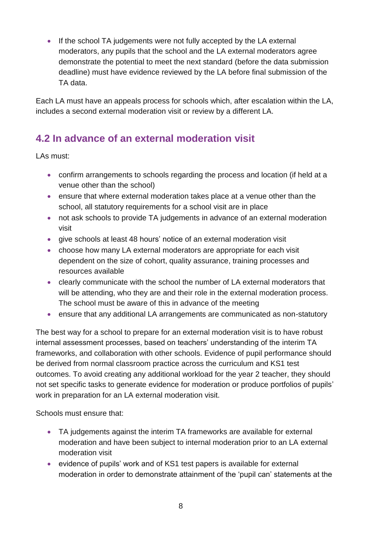If the school TA judgements were not fully accepted by the LA external moderators, any pupils that the school and the LA external moderators agree demonstrate the potential to meet the next standard (before the data submission deadline) must have evidence reviewed by the LA before final submission of the TA data.

Each LA must have an appeals process for schools which, after escalation within the LA, includes a second external moderation visit or review by a different LA.

# <span id="page-7-0"></span>**4.2 In advance of an external moderation visit**

LAs must:

- confirm arrangements to schools regarding the process and location (if held at a venue other than the school)
- ensure that where external moderation takes place at a venue other than the school, all statutory requirements for a school visit are in place
- not ask schools to provide TA judgements in advance of an external moderation visit
- give schools at least 48 hours' notice of an external moderation visit
- choose how many LA external moderators are appropriate for each visit dependent on the size of cohort, quality assurance, training processes and resources available
- clearly communicate with the school the number of LA external moderators that will be attending, who they are and their role in the external moderation process. The school must be aware of this in advance of the meeting
- ensure that any additional LA arrangements are communicated as non-statutory

The best way for a school to prepare for an external moderation visit is to have robust internal assessment processes, based on teachers' understanding of the interim TA frameworks, and collaboration with other schools. Evidence of pupil performance should be derived from normal classroom practice across the curriculum and KS1 test outcomes. To avoid creating any additional workload for the year 2 teacher, they should not set specific tasks to generate evidence for moderation or produce portfolios of pupils' work in preparation for an LA external moderation visit.

Schools must ensure that:

- TA judgements against the interim TA frameworks are available for external moderation and have been subject to internal moderation prior to an LA external moderation visit
- evidence of pupils' work and of KS1 test papers is available for external moderation in order to demonstrate attainment of the 'pupil can' statements at the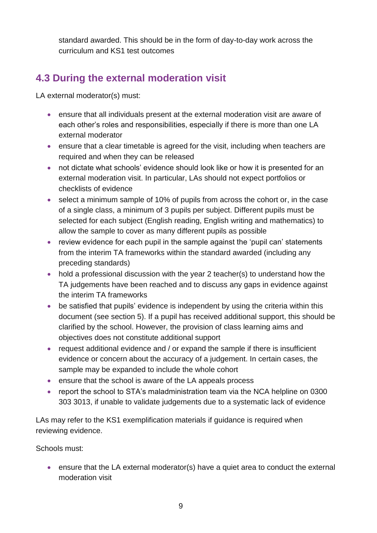standard awarded. This should be in the form of day-to-day work across the curriculum and KS1 test outcomes

## <span id="page-8-0"></span>**4.3 During the external moderation visit**

LA external moderator(s) must:

- ensure that all individuals present at the external moderation visit are aware of each other's roles and responsibilities, especially if there is more than one LA external moderator
- ensure that a clear timetable is agreed for the visit, including when teachers are required and when they can be released
- not dictate what schools' evidence should look like or how it is presented for an external moderation visit. In particular, LAs should not expect portfolios or checklists of evidence
- select a minimum sample of 10% of pupils from across the cohort or, in the case of a single class, a minimum of 3 pupils per subject. Different pupils must be selected for each subject (English reading, English writing and mathematics) to allow the sample to cover as many different pupils as possible
- review evidence for each pupil in the sample against the 'pupil can' statements from the interim TA frameworks within the standard awarded (including any preceding standards)
- hold a professional discussion with the year 2 teacher(s) to understand how the TA judgements have been reached and to discuss any gaps in evidence against the interim TA frameworks
- be satisfied that pupils' evidence is independent by using the criteria within this document (see section 5). If a pupil has received additional support, this should be clarified by the school. However, the provision of class learning aims and objectives does not constitute additional support
- request additional evidence and / or expand the sample if there is insufficient evidence or concern about the accuracy of a judgement. In certain cases, the sample may be expanded to include the whole cohort
- ensure that the school is aware of the LA appeals process
- report the school to STA's maladministration team via the NCA helpline on 0300 303 3013, if unable to validate judgements due to a systematic lack of evidence

LAs may refer to the KS1 exemplification materials if guidance is required when reviewing evidence.

Schools must:

 ensure that the LA external moderator(s) have a quiet area to conduct the external moderation visit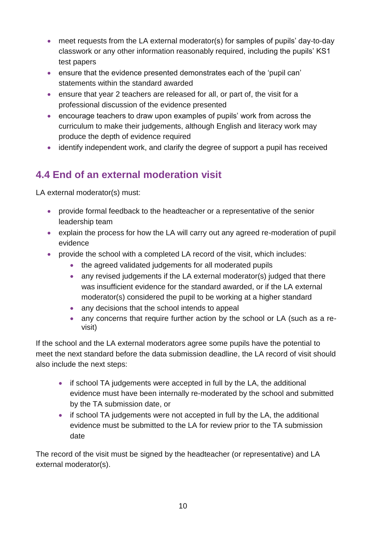- meet requests from the LA external moderator(s) for samples of pupils' day-to-day classwork or any other information reasonably required, including the pupils' KS1 test papers
- ensure that the evidence presented demonstrates each of the 'pupil can' statements within the standard awarded
- ensure that year 2 teachers are released for all, or part of, the visit for a professional discussion of the evidence presented
- encourage teachers to draw upon examples of pupils' work from across the curriculum to make their judgements, although English and literacy work may produce the depth of evidence required
- identify independent work, and clarify the degree of support a pupil has received

# <span id="page-9-0"></span>**4.4 End of an external moderation visit**

LA external moderator(s) must:

- provide formal feedback to the headteacher or a representative of the senior leadership team
- explain the process for how the LA will carry out any agreed re-moderation of pupil evidence
- provide the school with a completed LA record of the visit, which includes:
	- the agreed validated judgements for all moderated pupils
	- any revised judgements if the LA external moderator(s) judged that there was insufficient evidence for the standard awarded, or if the LA external moderator(s) considered the pupil to be working at a higher standard
	- any decisions that the school intends to appeal
	- any concerns that require further action by the school or LA (such as a revisit)

If the school and the LA external moderators agree some pupils have the potential to meet the next standard before the data submission deadline, the LA record of visit should also include the next steps:

- if school TA judgements were accepted in full by the LA, the additional evidence must have been internally re-moderated by the school and submitted by the TA submission date, or
- if school TA judgements were not accepted in full by the LA, the additional evidence must be submitted to the LA for review prior to the TA submission date

The record of the visit must be signed by the headteacher (or representative) and LA external moderator(s).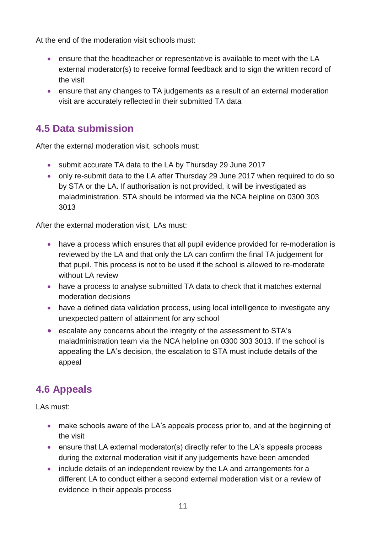At the end of the moderation visit schools must:

- ensure that the headteacher or representative is available to meet with the LA external moderator(s) to receive formal feedback and to sign the written record of the visit
- ensure that any changes to TA judgements as a result of an external moderation visit are accurately reflected in their submitted TA data

## <span id="page-10-0"></span>**4.5 Data submission**

After the external moderation visit, schools must:

- submit accurate TA data to the LA by Thursday 29 June 2017
- only re-submit data to the LA after Thursday 29 June 2017 when required to do so by STA or the LA. If authorisation is not provided, it will be investigated as maladministration. STA should be informed via the NCA helpline on 0300 303 3013

After the external moderation visit, LAs must:

- have a process which ensures that all pupil evidence provided for re-moderation is reviewed by the LA and that only the LA can confirm the final TA judgement for that pupil. This process is not to be used if the school is allowed to re-moderate without LA review
- have a process to analyse submitted TA data to check that it matches external moderation decisions
- have a defined data validation process, using local intelligence to investigate any unexpected pattern of attainment for any school
- escalate any concerns about the integrity of the assessment to STA's maladministration team via the NCA helpline on 0300 303 3013. If the school is appealing the LA's decision, the escalation to STA must include details of the appeal

# <span id="page-10-1"></span>**4.6 Appeals**

LAs must:

- make schools aware of the LA's appeals process prior to, and at the beginning of the visit
- ensure that LA external moderator(s) directly refer to the LA's appeals process during the external moderation visit if any judgements have been amended
- include details of an independent review by the LA and arrangements for a different LA to conduct either a second external moderation visit or a review of evidence in their appeals process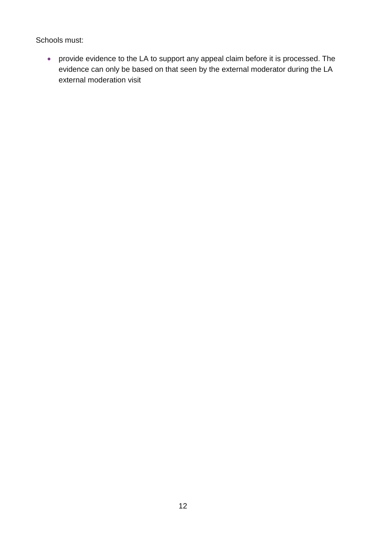Schools must:

 provide evidence to the LA to support any appeal claim before it is processed. The evidence can only be based on that seen by the external moderator during the LA external moderation visit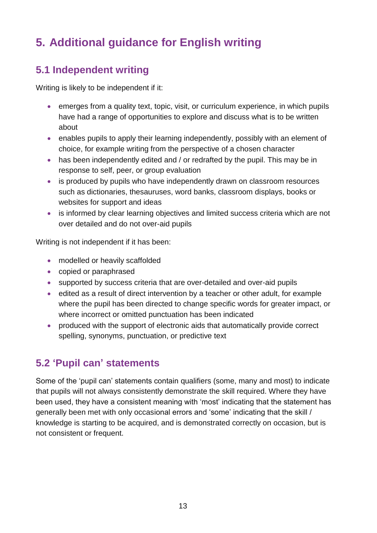# <span id="page-12-0"></span>**5. Additional guidance for English writing**

## <span id="page-12-1"></span>**5.1 Independent writing**

Writing is likely to be independent if it:

- emerges from a quality text, topic, visit, or curriculum experience, in which pupils have had a range of opportunities to explore and discuss what is to be written about
- enables pupils to apply their learning independently, possibly with an element of choice, for example writing from the perspective of a chosen character
- has been independently edited and / or redrafted by the pupil. This may be in response to self, peer, or group evaluation
- is produced by pupils who have independently drawn on classroom resources such as dictionaries, thesauruses, word banks, classroom displays, books or websites for support and ideas
- is informed by clear learning objectives and limited success criteria which are not over detailed and do not over-aid pupils

Writing is not independent if it has been:

- modelled or heavily scaffolded
- copied or paraphrased
- supported by success criteria that are over-detailed and over-aid pupils
- edited as a result of direct intervention by a teacher or other adult, for example where the pupil has been directed to change specific words for greater impact, or where incorrect or omitted punctuation has been indicated
- produced with the support of electronic aids that automatically provide correct spelling, synonyms, punctuation, or predictive text

## <span id="page-12-2"></span>**5.2 'Pupil can' statements**

Some of the 'pupil can' statements contain qualifiers (some, many and most) to indicate that pupils will not always consistently demonstrate the skill required. Where they have been used, they have a consistent meaning with 'most' indicating that the statement has generally been met with only occasional errors and 'some' indicating that the skill / knowledge is starting to be acquired, and is demonstrated correctly on occasion, but is not consistent or frequent.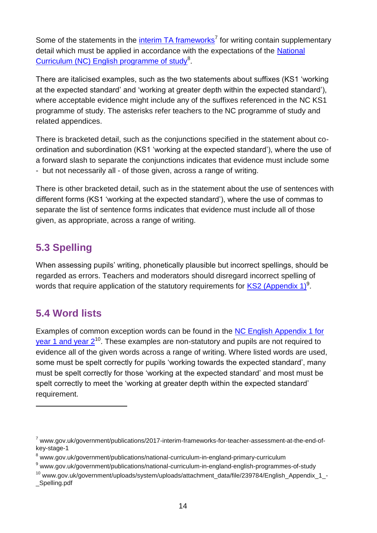Some of the statements in the  $\frac{interim TA frameworks}{}$  $\frac{interim TA frameworks}{}$  $\frac{interim TA frameworks}{}$  for writing contain supplementary detail which must be applied in accordance with the expectations of the [National](https://www.gov.uk/government/publications/national-curriculum-in-england-english-programmes-of-study)  [Curriculum \(NC\) English programme of study](https://www.gov.uk/government/publications/national-curriculum-in-england-english-programmes-of-study)<sup>8</sup>.

There are italicised examples, such as the two statements about suffixes (KS1 'working at the expected standard' and 'working at greater depth within the expected standard'), where acceptable evidence might include any of the suffixes referenced in the NC KS1 programme of study. The asterisks refer teachers to the NC programme of study and related appendices.

There is bracketed detail, such as the conjunctions specified in the statement about coordination and subordination (KS1 'working at the expected standard'), where the use of a forward slash to separate the conjunctions indicates that evidence must include some - but not necessarily all - of those given, across a range of writing.

There is other bracketed detail, such as in the statement about the use of sentences with different forms (KS1 'working at the expected standard'), where the use of commas to separate the list of sentence forms indicates that evidence must include all of those given, as appropriate, across a range of writing.

# <span id="page-13-0"></span>**5.3 Spelling**

When assessing pupils' writing, phonetically plausible but incorrect spellings, should be regarded as errors. Teachers and moderators should disregard incorrect spelling of words that require application of the statutory requirements for [KS2 \(Appendix 1\)](https://www.gov.uk/government/publications/national-curriculum-in-england-english-programmes-of-study)<sup>9</sup>.

# <span id="page-13-1"></span>**5.4 Word lists**

 $\overline{a}$ 

Examples of common exception words can be found in the [NC English Appendix 1 for](https://www.gov.uk/government/uploads/system/uploads/attachment_data/file/239784/English_Appendix_1_-_Spelling.pdf)  vear 1 and year  $2^{10}$ . These examples are non-statutory and pupils are not required to evidence all of the given words across a range of writing. Where listed words are used, some must be spelt correctly for pupils 'working towards the expected standard', many must be spelt correctly for those 'working at the expected standard' and most must be spelt correctly to meet the 'working at greater depth within the expected standard' requirement.

 $^7$  www.gov.uk/government/publications/2017-interim-frameworks-for-teacher-assessment-at-the-end-ofkey-stage-1

<sup>8</sup> www.gov.uk/government/publications/national-curriculum-in-england-primary-curriculum

<sup>9</sup> www.gov.uk/government/publications/national-curriculum-in-england-english-programmes-of-study

<sup>&</sup>lt;sup>10</sup> www.gov.uk/government/uploads/system/uploads/attachment\_data/file/239784/English\_Appendix\_1\_-Spelling.pdf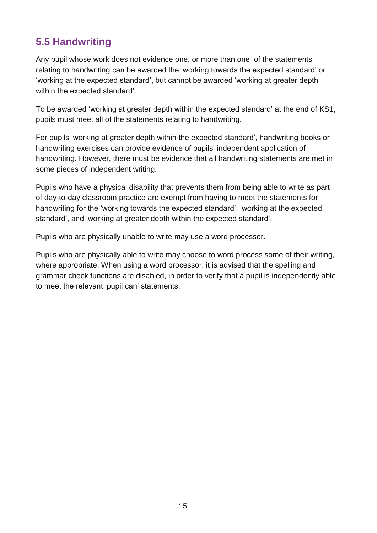## <span id="page-14-0"></span>**5.5 Handwriting**

Any pupil whose work does not evidence one, or more than one, of the statements relating to handwriting can be awarded the 'working towards the expected standard' or 'working at the expected standard', but cannot be awarded 'working at greater depth within the expected standard'.

To be awarded 'working at greater depth within the expected standard' at the end of KS1, pupils must meet all of the statements relating to handwriting.

For pupils 'working at greater depth within the expected standard', handwriting books or handwriting exercises can provide evidence of pupils' independent application of handwriting. However, there must be evidence that all handwriting statements are met in some pieces of independent writing.

Pupils who have a physical disability that prevents them from being able to write as part of day-to-day classroom practice are exempt from having to meet the statements for handwriting for the 'working towards the expected standard', 'working at the expected standard', and 'working at greater depth within the expected standard'.

Pupils who are physically unable to write may use a word processor.

Pupils who are physically able to write may choose to word process some of their writing, where appropriate. When using a word processor, it is advised that the spelling and grammar check functions are disabled, in order to verify that a pupil is independently able to meet the relevant 'pupil can' statements.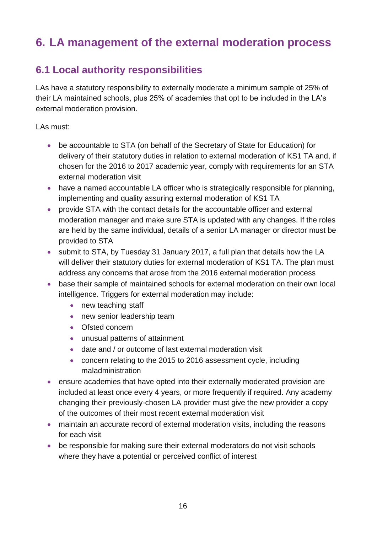# <span id="page-15-0"></span>**6. LA management of the external moderation process**

### <span id="page-15-1"></span>**6.1 Local authority responsibilities**

LAs have a statutory responsibility to externally moderate a minimum sample of 25% of their LA maintained schools, plus 25% of academies that opt to be included in the LA's external moderation provision.

LAs must:

- be accountable to STA (on behalf of the Secretary of State for Education) for delivery of their statutory duties in relation to external moderation of KS1 TA and, if chosen for the 2016 to 2017 academic year, comply with requirements for an STA external moderation visit
- have a named accountable LA officer who is strategically responsible for planning, implementing and quality assuring external moderation of KS1 TA
- provide STA with the contact details for the accountable officer and external moderation manager and make sure STA is updated with any changes. If the roles are held by the same individual, details of a senior LA manager or director must be provided to STA
- submit to STA, by Tuesday 31 January 2017, a full plan that details how the LA will deliver their statutory duties for external moderation of KS1 TA. The plan must address any concerns that arose from the 2016 external moderation process
- base their sample of maintained schools for external moderation on their own local intelligence. Triggers for external moderation may include:
	- new teaching staff
	- new senior leadership team
	- Ofsted concern
	- unusual patterns of attainment
	- date and / or outcome of last external moderation visit
	- concern relating to the 2015 to 2016 assessment cycle, including maladministration
- ensure academies that have opted into their externally moderated provision are included at least once every 4 years, or more frequently if required. Any academy changing their previously-chosen LA provider must give the new provider a copy of the outcomes of their most recent external moderation visit
- maintain an accurate record of external moderation visits, including the reasons for each visit
- be responsible for making sure their external moderators do not visit schools where they have a potential or perceived conflict of interest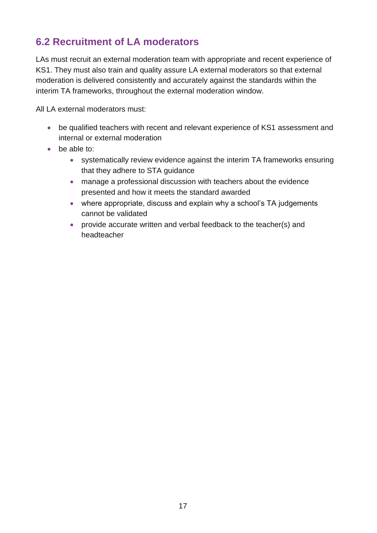## <span id="page-16-0"></span>**6.2 Recruitment of LA moderators**

LAs must recruit an external moderation team with appropriate and recent experience of KS1. They must also train and quality assure LA external moderators so that external moderation is delivered consistently and accurately against the standards within the interim TA frameworks, throughout the external moderation window.

All LA external moderators must:

- be qualified teachers with recent and relevant experience of KS1 assessment and internal or external moderation
- be able to:
	- systematically review evidence against the interim TA frameworks ensuring that they adhere to STA guidance
	- manage a professional discussion with teachers about the evidence presented and how it meets the standard awarded
	- where appropriate, discuss and explain why a school's TA judgements cannot be validated
	- provide accurate written and verbal feedback to the teacher(s) and headteacher